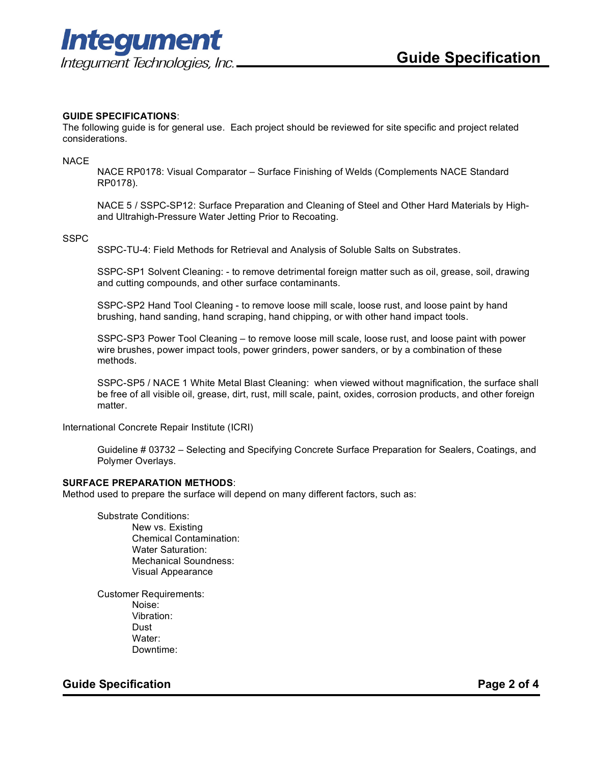

# **GUIDE SPECIFICATIONS**:

The following guide is for general use. Each project should be reviewed for site specific and project related considerations.

NACE

NACE RP0178: Visual Comparator – Surface Finishing of Welds (Complements NACE Standard RP0178).

NACE 5 / SSPC-SP12: Surface Preparation and Cleaning of Steel and Other Hard Materials by Highand Ultrahigh-Pressure Water Jetting Prior to Recoating.

#### **SSPC**

SSPC-TU-4: Field Methods for Retrieval and Analysis of Soluble Salts on Substrates.

SSPC-SP1 Solvent Cleaning: - to remove detrimental foreign matter such as oil, grease, soil, drawing and cutting compounds, and other surface contaminants.

SSPC-SP2 Hand Tool Cleaning - to remove loose mill scale, loose rust, and loose paint by hand brushing, hand sanding, hand scraping, hand chipping, or with other hand impact tools.

SSPC-SP3 Power Tool Cleaning – to remove loose mill scale, loose rust, and loose paint with power wire brushes, power impact tools, power grinders, power sanders, or by a combination of these methods.

SSPC-SP5 / NACE 1 White Metal Blast Cleaning: when viewed without magnification, the surface shall be free of all visible oil, grease, dirt, rust, mill scale, paint, oxides, corrosion products, and other foreign matter.

International Concrete Repair Institute (ICRI)

Guideline # 03732 – Selecting and Specifying Concrete Surface Preparation for Sealers, Coatings, and Polymer Overlays.

#### **SURFACE PREPARATION METHODS**:

Method used to prepare the surface will depend on many different factors, such as:

Substrate Conditions:

New vs. Existing Chemical Contamination: Water Saturation: Mechanical Soundness: Visual Appearance

Customer Requirements: Noise: Vibration: Dust Water: Downtime:

# **Guide Specification Page 2 of 4**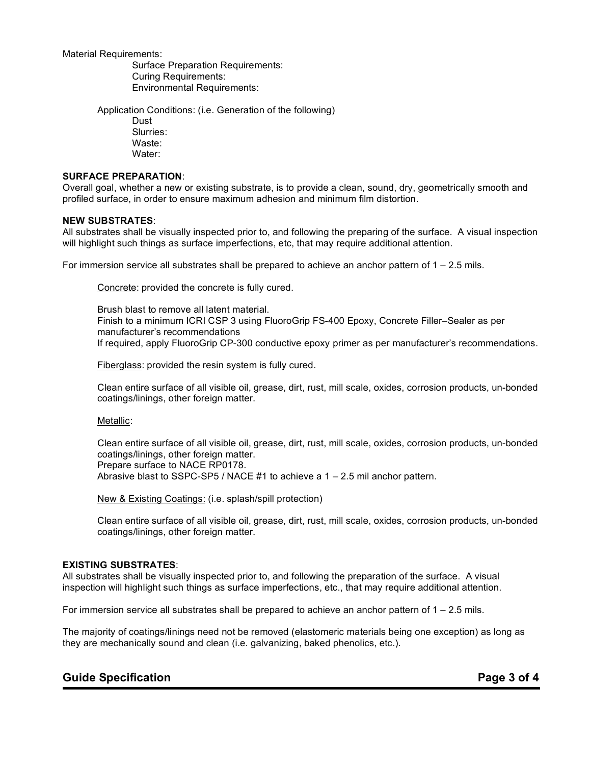Material Requirements:

Surface Preparation Requirements: Curing Requirements: Environmental Requirements:

Application Conditions: (i.e. Generation of the following) Dust Slurries: Waste: Water:

## **SURFACE PREPARATION**:

Overall goal, whether a new or existing substrate, is to provide a clean, sound, dry, geometrically smooth and profiled surface, in order to ensure maximum adhesion and minimum film distortion.

#### **NEW SUBSTRATES**:

All substrates shall be visually inspected prior to, and following the preparing of the surface. A visual inspection will highlight such things as surface imperfections, etc, that may require additional attention.

For immersion service all substrates shall be prepared to achieve an anchor pattern of  $1 - 2.5$  mils.

Concrete: provided the concrete is fully cured.

Brush blast to remove all latent material. Finish to a minimum ICRI CSP 3 using FluoroGrip FS-400 Epoxy, Concrete Filler–Sealer as per manufacturer's recommendations If required, apply FluoroGrip CP-300 conductive epoxy primer as per manufacturer's recommendations.

Fiberglass: provided the resin system is fully cured.

Clean entire surface of all visible oil, grease, dirt, rust, mill scale, oxides, corrosion products, un-bonded coatings/linings, other foreign matter.

Metallic:

Clean entire surface of all visible oil, grease, dirt, rust, mill scale, oxides, corrosion products, un-bonded coatings/linings, other foreign matter. Prepare surface to NACE RP0178. Abrasive blast to SSPC-SP5 / NACE #1 to achieve a 1 – 2.5 mil anchor pattern.

New & Existing Coatings: (i.e. splash/spill protection)

Clean entire surface of all visible oil, grease, dirt, rust, mill scale, oxides, corrosion products, un-bonded coatings/linings, other foreign matter.

## **EXISTING SUBSTRATES**:

All substrates shall be visually inspected prior to, and following the preparation of the surface. A visual inspection will highlight such things as surface imperfections, etc., that may require additional attention.

For immersion service all substrates shall be prepared to achieve an anchor pattern of  $1 - 2.5$  mils.

The majority of coatings/linings need not be removed (elastomeric materials being one exception) as long as they are mechanically sound and clean (i.e. galvanizing, baked phenolics, etc.).

# **Guide Specification Page 3 of 4**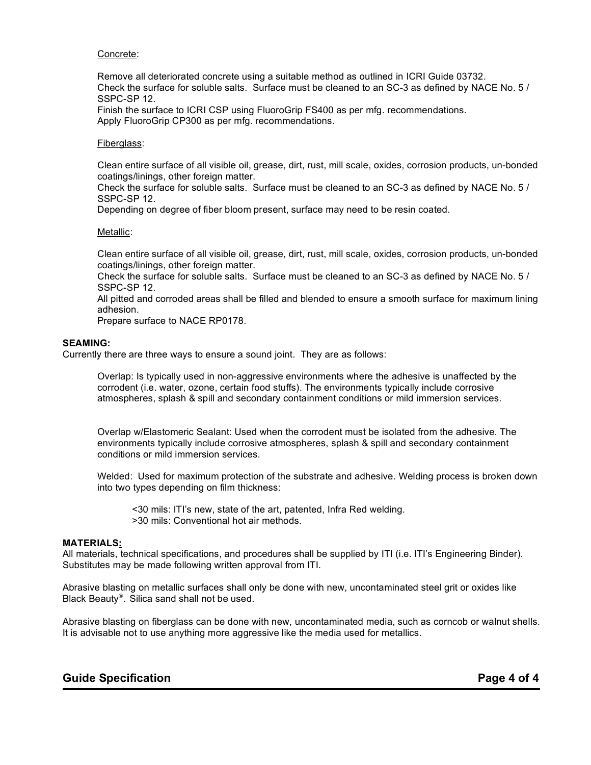## Concrete:

Remove all deteriorated concrete using a suitable method as outlined in ICRI Guide 03732. Check the surface for soluble salts. Surface must be cleaned to an SC-3 as defined by NACE No. 5 / SSPC-SP 12.

Finish the surface to ICRI CSP using FluoroGrip FS400 as per mfg. recommendations. Apply FluoroGrip CP300 as per mfg. recommendations.

#### Fiberglass:

Clean entire surface of all visible oil, grease, dirt, rust, mill scale, oxides, corrosion products, un-bonded coatings/linings, other foreign matter.

Check the surface for soluble salts. Surface must be cleaned to an SC-3 as defined by NACE No. 5 / SSPC-SP 12.

Depending on degree of fiber bloom present, surface may need to be resin coated.

#### Metallic:

Clean entire surface of all visible oil, grease, dirt, rust, mill scale, oxides, corrosion products, un-bonded coatings/linings, other foreign matter.

Check the surface for soluble salts. Surface must be cleaned to an SC-3 as defined by NACE No. 5 / SSPC-SP 12.

All pitted and corroded areas shall be filled and blended to ensure a smooth surface for maximum lining adhesion.

Prepare surface to NACE RP0178.

#### **SEAMING:**

Currently there are three ways to ensure a sound joint. They are as follows:

Overlap: Is typically used in non-aggressive environments where the adhesive is unaffected by the corrodent (i.e. water, ozone, certain food stuffs). The environments typically include corrosive atmospheres, splash & spill and secondary containment conditions or mild immersion services.

Overlap w/Elastomeric Sealant: Used when the corrodent must be isolated from the adhesive. The environments typically include corrosive atmospheres, splash & spill and secondary containment conditions or mild immersion services.

Welded: Used for maximum protection of the substrate and adhesive. Welding process is broken down into two types depending on film thickness:

<30 mils: ITI's new, state of the art, patented, Infra Red welding. >30 mils: Conventional hot air methods.

# **MATERIALS:**

All materials, technical specifications, and procedures shall be supplied by ITI (i.e. ITI's Engineering Binder). Substitutes may be made following written approval from ITI.

Abrasive blasting on metallic surfaces shall only be done with new, uncontaminated steel grit or oxides like Black Beauty<sup>®</sup>. Silica sand shall not be used.

Abrasive blasting on fiberglass can be done with new, uncontaminated media, such as corncob or walnut shells. It is advisable not to use anything more aggressive like the media used for metallics.